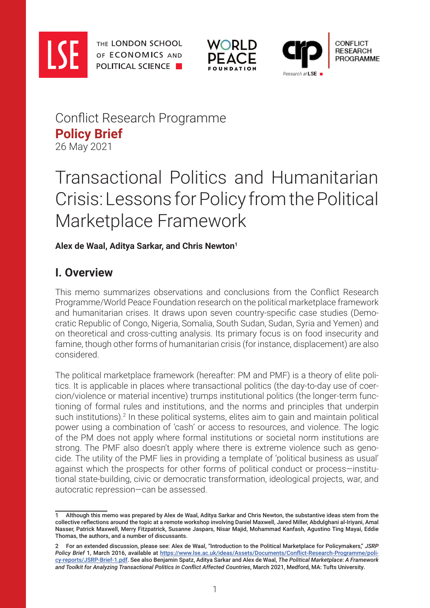

THE LONDON SCHOOL OF ECONOMICS AND **POLITICAL SCIENCE** 





## Conflict Research Programme **Policy Brief**

26 May 2021

# Transactional Politics and Humanitarian Crisis: Lessons for Policy from the Political Marketplace Framework

#### **Alex de Waal, Aditya Sarkar, and Chris Newton1**

## **I. Overview**

This memo summarizes observations and conclusions from the Conflict Research Programme/World Peace Foundation research on the political marketplace framework and humanitarian crises. It draws upon seven country-specific case studies (Democratic Republic of Congo, Nigeria, Somalia, South Sudan, Sudan, Syria and Yemen) and on theoretical and cross-cutting analysis. Its primary focus is on food insecurity and famine, though other forms of humanitarian crisis (for instance, displacement) are also considered.

The political marketplace framework (hereafter: PM and PMF) is a theory of elite politics. It is applicable in places where transactional politics (the day-to-day use of coercion/violence or material incentive) trumps institutional politics (the longer-term functioning of formal rules and institutions, and the norms and principles that underpin such institutions).<sup>2</sup> In these political systems, elites aim to gain and maintain political power using a combination of 'cash' or access to resources, and violence. The logic of the PM does not apply where formal institutions or societal norm institutions are strong. The PMF also doesn't apply where there is extreme violence such as genocide. The utility of the PMF lies in providing a template of 'political business as usual' against which the prospects for other forms of political conduct or process—institutional state-building, civic or democratic transformation, ideological projects, war, and autocratic repression—can be assessed.

<sup>1</sup> Although this memo was prepared by Alex de Waal, Aditya Sarkar and Chris Newton, the substantive ideas stem from the collective reflections around the topic at a remote workshop involving Daniel Maxwell, Jared Miller, Abdulghani al-Iriyani, Amal Nasser, Patrick Maxwell, Merry Fitzpatrick, Susanne Jaspars, Nisar Majid, Mohammad Kanfash, Agustino Ting Mayai, Eddie Thomas, the authors, and a number of discussants.

<sup>2</sup> For an extended discussion, please see: Alex de Waal, "Introduction to the Political Marketplace for Policymakers," *JSRP Policy Brief* 1, March 2016, available at [https://www.lse.ac.uk/ideas/Assets/Documents/Conflict-Research-Programme/poli](https://www.lse.ac.uk/ideas/Assets/Documents/Conflict-Research-Programme/policy-reports/JSRP-Brief-1.pdf)[cy-reports/JSRP-Brief-1.pdf.](https://www.lse.ac.uk/ideas/Assets/Documents/Conflict-Research-Programme/policy-reports/JSRP-Brief-1.pdf) See also Benjamin Spatz, Aditya Sarkar and Alex de Waal, *The Political Marketplace: A Framework and Toolkit for Analyzing Transactional Politics in Conflict Affected Countries*, March 2021, Medford, MA: Tufts University.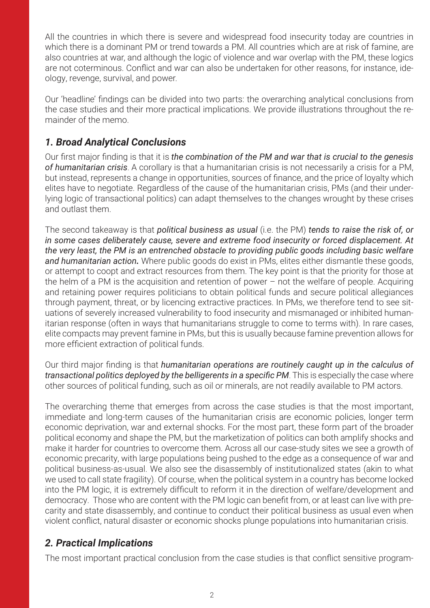All the countries in which there is severe and widespread food insecurity today are countries in which there is a dominant PM or trend towards a PM. All countries which are at risk of famine, are also countries at war, and although the logic of violence and war overlap with the PM, these logics are not coterminous. Conflict and war can also be undertaken for other reasons, for instance, ideology, revenge, survival, and power.

Our 'headline' findings can be divided into two parts: the overarching analytical conclusions from the case studies and their more practical implications. We provide illustrations throughout the remainder of the memo.

#### *1. Broad Analytical Conclusions*

Our first major finding is that it is *the combination of the PM and war that is crucial to the genesis of humanitarian crisis*. A corollary is that a humanitarian crisis is not necessarily a crisis for a PM, but instead, represents a change in opportunities, sources of finance, and the price of loyalty which elites have to negotiate. Regardless of the cause of the humanitarian crisis, PMs (and their underlying logic of transactional politics) can adapt themselves to the changes wrought by these crises and outlast them.

The second takeaway is that *political business as usual* (i.e. the PM) *tends to raise the risk of, or in some cases deliberately cause, severe and extreme food insecurity or forced displacement. At the very least, the PM is an entrenched obstacle to providing public goods including basic welfare and humanitarian action.* Where public goods do exist in PMs, elites either dismantle these goods, or attempt to coopt and extract resources from them. The key point is that the priority for those at the helm of a PM is the acquisition and retention of power – not the welfare of people. Acquiring and retaining power requires politicians to obtain political funds and secure political allegiances through payment, threat, or by licencing extractive practices. In PMs, we therefore tend to see situations of severely increased vulnerability to food insecurity and mismanaged or inhibited humanitarian response (often in ways that humanitarians struggle to come to terms with). In rare cases, elite compacts may prevent famine in PMs, but this is usually because famine prevention allows for more efficient extraction of political funds.

Our third major finding is that *humanitarian operations are routinely caught up in the calculus of transactional politics deployed by the belligerents in a specific PM*. This is especially the case where other sources of political funding, such as oil or minerals, are not readily available to PM actors.

The overarching theme that emerges from across the case studies is that the most important, immediate and long-term causes of the humanitarian crisis are economic policies, longer term economic deprivation, war and external shocks. For the most part, these form part of the broader political economy and shape the PM, but the marketization of politics can both amplify shocks and make it harder for countries to overcome them. Across all our case-study sites we see a growth of economic precarity, with large populations being pushed to the edge as a consequence of war and political business-as-usual. We also see the disassembly of institutionalized states (akin to what we used to call state fragility). Of course, when the political system in a country has become locked into the PM logic, it is extremely difficult to reform it in the direction of welfare/development and democracy. Those who are content with the PM logic can benefit from, or at least can live with precarity and state disassembly, and continue to conduct their political business as usual even when violent conflict, natural disaster or economic shocks plunge populations into humanitarian crisis.

#### *2. Practical Implications*

The most important practical conclusion from the case studies is that conflict sensitive program-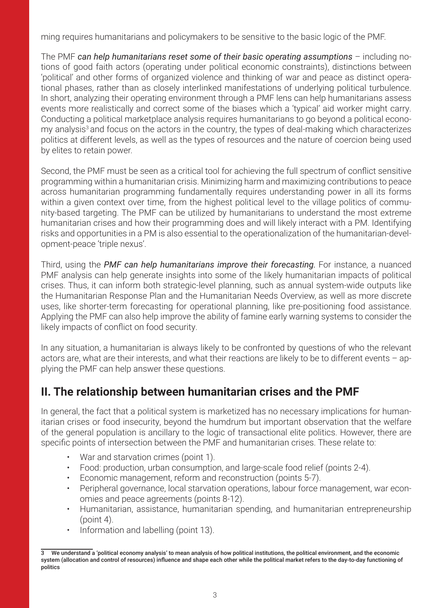ming requires humanitarians and policymakers to be sensitive to the basic logic of the PMF.

The PMF *can help humanitarians reset some of their basic operating assumptions* – including notions of good faith actors (operating under political economic constraints), distinctions between 'political' and other forms of organized violence and thinking of war and peace as distinct operational phases, rather than as closely interlinked manifestations of underlying political turbulence. In short, analyzing their operating environment through a PMF lens can help humanitarians assess events more realistically and correct some of the biases which a 'typical' aid worker might carry. Conducting a political marketplace analysis requires humanitarians to go beyond a political econo $my$  analysis<sup>3</sup> and focus on the actors in the country, the types of deal-making which characterizes politics at different levels, as well as the types of resources and the nature of coercion being used by elites to retain power.

Second, the PMF must be seen as a critical tool for achieving the full spectrum of conflict sensitive programming within a humanitarian crisis. Minimizing harm and maximizing contributions to peace across humanitarian programming fundamentally requires understanding power in all its forms within a given context over time, from the highest political level to the village politics of community-based targeting. The PMF can be utilized by humanitarians to understand the most extreme humanitarian crises and how their programming does and will likely interact with a PM. Identifying risks and opportunities in a PM is also essential to the operationalization of the humanitarian-development-peace 'triple nexus'.

Third, using the *PMF can help humanitarians improve their forecasting.* For instance, a nuanced PMF analysis can help generate insights into some of the likely humanitarian impacts of political crises. Thus, it can inform both strategic-level planning, such as annual system-wide outputs like the Humanitarian Response Plan and the Humanitarian Needs Overview, as well as more discrete uses, like shorter-term forecasting for operational planning, like pre-positioning food assistance. Applying the PMF can also help improve the ability of famine early warning systems to consider the likely impacts of conflict on food security.

In any situation, a humanitarian is always likely to be confronted by questions of who the relevant actors are, what are their interests, and what their reactions are likely to be to different events – applying the PMF can help answer these questions.

## **II. The relationship between humanitarian crises and the PMF**

In general, the fact that a political system is marketized has no necessary implications for humanitarian crises or food insecurity, beyond the humdrum but important observation that the welfare of the general population is ancillary to the logic of transactional elite politics. However, there are specific points of intersection between the PMF and humanitarian crises. These relate to:

- War and starvation crimes (point 1).
- Food: production, urban consumption, and large-scale food relief (points 2-4).
- Economic management, reform and reconstruction (points 5-7).
- Peripheral governance, local starvation operations, labour force management, war economies and peace agreements (points 8-12).
- Humanitarian, assistance, humanitarian spending, and humanitarian entrepreneurship (point 4).
- Information and labelling (point 13).

<sup>3</sup> We understand a 'political economy analysis' to mean analysis of how political institutions, the political environment, and the economic system (allocation and control of resources) influence and shape each other while the political market refers to the day-to-day functioning of politics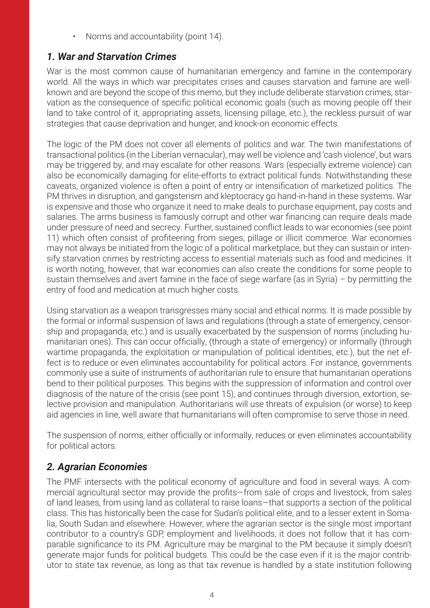• Norms and accountability (point 14).

#### *1. War and Starvation Crimes*

War is the most common cause of humanitarian emergency and famine in the contemporary world. All the ways in which war precipitates crises and causes starvation and famine are wellknown and are beyond the scope of this memo, but they include deliberate starvation crimes, starvation as the consequence of specific political economic goals (such as moving people off their land to take control of it, appropriating assets, licensing pillage, etc.), the reckless pursuit of war strategies that cause deprivation and hunger, and knock-on economic effects.

The logic of the PM does not cover all elements of politics and war. The twin manifestations of transactional politics (in the Liberian vernacular), may well be violence and 'cash violence', but wars may be triggered by, and may escalate for other reasons. Wars (especially extreme violence) can also be economically damaging for elite-efforts to extract political funds. Notwithstanding these caveats, organized violence is often a point of entry or intensification of marketized politics. The PM thrives in disruption, and gangsterism and kleptocracy go hand-in-hand in these systems. War is expensive and those who organize it need to make deals to purchase equipment, pay costs and salaries. The arms business is famously corrupt and other war financing can require deals made under pressure of need and secrecy. Further, sustained conflict leads to war economies (see point 11) which often consist of profiteering from sieges, pillage or illicit commerce. War economies may not always be initiated from the logic of a political marketplace, but they can sustain or intensify starvation crimes by restricting access to essential materials such as food and medicines. It is worth noting, however, that war economies can also create the conditions for some people to sustain themselves and avert famine in the face of siege warfare (as in Syria) – by permitting the entry of food and medication at much higher costs.

Using starvation as a weapon transgresses many social and ethical norms. It is made possible by the formal or informal suspension of laws and regulations (through a state of emergency, censorship and propaganda, etc.) and is usually exacerbated by the suspension of norms (including humanitarian ones). This can occur officially, (through a state of emergency) or informally (through wartime propaganda, the exploitation or manipulation of political identities, etc.), but the net effect is to reduce or even eliminates accountability for political actors. For instance, governments commonly use a suite of instruments of authoritarian rule to ensure that humanitarian operations bend to their political purposes. This begins with the suppression of information and control over diagnosis of the nature of the crisis (see point 15), and continues through diversion, extortion, selective provision and manipulation. Authoritarians will use threats of expulsion (or worse) to keep aid agencies in line, well aware that humanitarians will often compromise to serve those in need.

The suspension of norms, either officially or informally, reduces or even eliminates accountability for political actors.

#### *2. Agrarian Economies*

The PMF intersects with the political economy of agriculture and food in several ways. A commercial agricultural sector may provide the profits—from sale of crops and livestock, from sales of land leases, from using land as collateral to raise loans—that supports a section of the political class. This has historically been the case for Sudan's political elite, and to a lesser extent in Somalia, South Sudan and elsewhere. However, where the agrarian sector is the single most important contributor to a country's GDP, employment and livelihoods, it does not follow that it has comparable significance to its PM. Agriculture may be marginal to the PM because it simply doesn't generate major funds for political budgets. This could be the case even if it is the major contributor to state tax revenue, as long as that tax revenue is handled by a state institution following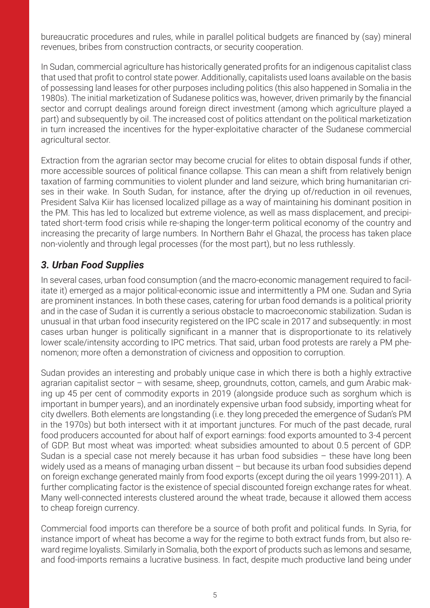bureaucratic procedures and rules, while in parallel political budgets are financed by (say) mineral revenues, bribes from construction contracts, or security cooperation.

In Sudan, commercial agriculture has historically generated profits for an indigenous capitalist class that used that profit to control state power. Additionally, capitalists used loans available on the basis of possessing land leases for other purposes including politics (this also happened in Somalia in the 1980s). The initial marketization of Sudanese politics was, however, driven primarily by the financial sector and corrupt dealings around foreign direct investment (among which agriculture played a part) and subsequently by oil. The increased cost of politics attendant on the political marketization in turn increased the incentives for the hyper-exploitative character of the Sudanese commercial agricultural sector.

Extraction from the agrarian sector may become crucial for elites to obtain disposal funds if other, more accessible sources of political finance collapse. This can mean a shift from relatively benign taxation of farming communities to violent plunder and land seizure, which bring humanitarian crises in their wake. In South Sudan, for instance, after the drying up of/reduction in oil revenues, President Salva Kiir has licensed localized pillage as a way of maintaining his dominant position in the PM. This has led to localized but extreme violence, as well as mass displacement, and precipitated short-term food crisis while re-shaping the longer-term political economy of the country and increasing the precarity of large numbers. In Northern Bahr el Ghazal, the process has taken place non-violently and through legal processes (for the most part), but no less ruthlessly.

#### *3. Urban Food Supplies*

In several cases, urban food consumption (and the macro-economic management required to facilitate it) emerged as a major political-economic issue and intermittently a PM one. Sudan and Syria are prominent instances. In both these cases, catering for urban food demands is a political priority and in the case of Sudan it is currently a serious obstacle to macroeconomic stabilization. Sudan is unusual in that urban food insecurity registered on the IPC scale in 2017 and subsequently: in most cases urban hunger is politically significant in a manner that is disproportionate to its relatively lower scale/intensity according to IPC metrics. That said, urban food protests are rarely a PM phenomenon; more often a demonstration of civicness and opposition to corruption.

Sudan provides an interesting and probably unique case in which there is both a highly extractive agrarian capitalist sector – with sesame, sheep, groundnuts, cotton, camels, and gum Arabic making up 45 per cent of commodity exports in 2019 (alongside produce such as sorghum which is important in bumper years), and an inordinately expensive urban food subsidy, importing wheat for city dwellers. Both elements are longstanding (i.e. they long preceded the emergence of Sudan's PM in the 1970s) but both intersect with it at important junctures. For much of the past decade, rural food producers accounted for about half of export earnings: food exports amounted to 3-4 percent of GDP. But most wheat was imported: wheat subsidies amounted to about 0.5 percent of GDP. Sudan is a special case not merely because it has urban food subsidies – these have long been widely used as a means of managing urban dissent – but because its urban food subsidies depend on foreign exchange generated mainly from food exports (except during the oil years 1999-2011). A further complicating factor is the existence of special discounted foreign exchange rates for wheat. Many well-connected interests clustered around the wheat trade, because it allowed them access to cheap foreign currency.

Commercial food imports can therefore be a source of both profit and political funds. In Syria, for instance import of wheat has become a way for the regime to both extract funds from, but also reward regime loyalists. Similarly in Somalia, both the export of products such as lemons and sesame, and food-imports remains a lucrative business. In fact, despite much productive land being under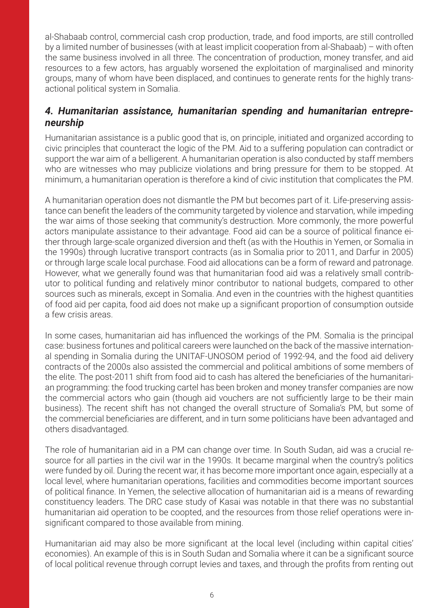al-Shabaab control, commercial cash crop production, trade, and food imports, are still controlled by a limited number of businesses (with at least implicit cooperation from al-Shabaab) – with often the same business involved in all three. The concentration of production, money transfer, and aid resources to a few actors, has arguably worsened the exploitation of marginalised and minority groups, many of whom have been displaced, and continues to generate rents for the highly transactional political system in Somalia.

#### *4. Humanitarian assistance, humanitarian spending and humanitarian entrepreneurship*

Humanitarian assistance is a public good that is, on principle, initiated and organized according to civic principles that counteract the logic of the PM. Aid to a suffering population can contradict or support the war aim of a belligerent. A humanitarian operation is also conducted by staff members who are witnesses who may publicize violations and bring pressure for them to be stopped. At minimum, a humanitarian operation is therefore a kind of civic institution that complicates the PM.

A humanitarian operation does not dismantle the PM but becomes part of it. Life-preserving assistance can benefit the leaders of the community targeted by violence and starvation, while impeding the war aims of those seeking that community's destruction. More commonly, the more powerful actors manipulate assistance to their advantage. Food aid can be a source of political finance either through large-scale organized diversion and theft (as with the Houthis in Yemen, or Somalia in the 1990s) through lucrative transport contracts (as in Somalia prior to 2011, and Darfur in 2005) or through large scale local purchase. Food aid allocations can be a form of reward and patronage. However, what we generally found was that humanitarian food aid was a relatively small contributor to political funding and relatively minor contributor to national budgets, compared to other sources such as minerals, except in Somalia. And even in the countries with the highest quantities of food aid per capita, food aid does not make up a significant proportion of consumption outside a few crisis areas.

In some cases, humanitarian aid has influenced the workings of the PM. Somalia is the principal case: business fortunes and political careers were launched on the back of the massive international spending in Somalia during the UNITAF-UNOSOM period of 1992-94, and the food aid delivery contracts of the 2000s also assisted the commercial and political ambitions of some members of the elite. The post-2011 shift from food aid to cash has altered the beneficiaries of the humanitarian programming: the food trucking cartel has been broken and money transfer companies are now the commercial actors who gain (though aid vouchers are not sufficiently large to be their main business). The recent shift has not changed the overall structure of Somalia's PM, but some of the commercial beneficiaries are different, and in turn some politicians have been advantaged and others disadvantaged.

The role of humanitarian aid in a PM can change over time. In South Sudan, aid was a crucial resource for all parties in the civil war in the 1990s. It became marginal when the country's politics were funded by oil. During the recent war, it has become more important once again, especially at a local level, where humanitarian operations, facilities and commodities become important sources of political finance. In Yemen, the selective allocation of humanitarian aid is a means of rewarding constituency leaders. The DRC case study of Kasai was notable in that there was no substantial humanitarian aid operation to be coopted, and the resources from those relief operations were insignificant compared to those available from mining.

Humanitarian aid may also be more significant at the local level (including within capital cities' economies). An example of this is in South Sudan and Somalia where it can be a significant source of local political revenue through corrupt levies and taxes, and through the profits from renting out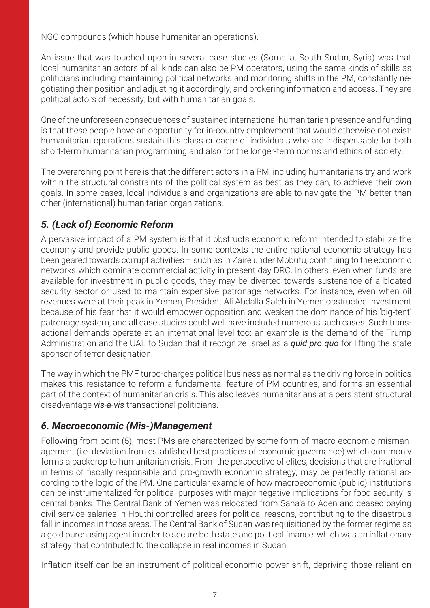NGO compounds (which house humanitarian operations).

An issue that was touched upon in several case studies (Somalia, South Sudan, Syria) was that local humanitarian actors of all kinds can also be PM operators, using the same kinds of skills as politicians including maintaining political networks and monitoring shifts in the PM, constantly negotiating their position and adjusting it accordingly, and brokering information and access. They are political actors of necessity, but with humanitarian goals.

One of the unforeseen consequences of sustained international humanitarian presence and funding is that these people have an opportunity for in-country employment that would otherwise not exist: humanitarian operations sustain this class or cadre of individuals who are indispensable for both short-term humanitarian programming and also for the longer-term norms and ethics of society.

The overarching point here is that the different actors in a PM, including humanitarians try and work within the structural constraints of the political system as best as they can, to achieve their own goals. In some cases, local individuals and organizations are able to navigate the PM better than other (international) humanitarian organizations.

### *5. (Lack of) Economic Reform*

A pervasive impact of a PM system is that it obstructs economic reform intended to stabilize the economy and provide public goods. In some contexts the entire national economic strategy has been geared towards corrupt activities – such as in Zaire under Mobutu, continuing to the economic networks which dominate commercial activity in present day DRC. In others, even when funds are available for investment in public goods, they may be diverted towards sustenance of a bloated security sector or used to maintain expensive patronage networks. For instance, even when oil revenues were at their peak in Yemen, President Ali Abdalla Saleh in Yemen obstructed investment because of his fear that it would empower opposition and weaken the dominance of his 'big-tent' patronage system, and all case studies could well have included numerous such cases. Such transactional demands operate at an international level too: an example is the demand of the Trump Administration and the UAE to Sudan that it recognize Israel as a *quid pro quo* for lifting the state sponsor of terror designation.

The way in which the PMF turbo-charges political business as normal as the driving force in politics makes this resistance to reform a fundamental feature of PM countries, and forms an essential part of the context of humanitarian crisis. This also leaves humanitarians at a persistent structural disadvantage *vis-à-vis* transactional politicians.

#### *6. Macroeconomic (Mis-)Management*

Following from point (5), most PMs are characterized by some form of macro-economic mismanagement (i.e. deviation from established best practices of economic governance) which commonly forms a backdrop to humanitarian crisis. From the perspective of elites, decisions that are irrational in terms of fiscally responsible and pro-growth economic strategy, may be perfectly rational according to the logic of the PM. One particular example of how macroeconomic (public) institutions can be instrumentalized for political purposes with major negative implications for food security is central banks. The Central Bank of Yemen was relocated from Sana'a to Aden and ceased paying civil service salaries in Houthi-controlled areas for political reasons, contributing to the disastrous fall in incomes in those areas. The Central Bank of Sudan was requisitioned by the former regime as a gold purchasing agent in order to secure both state and political finance, which was an inflationary strategy that contributed to the collapse in real incomes in Sudan.

Inflation itself can be an instrument of political-economic power shift, depriving those reliant on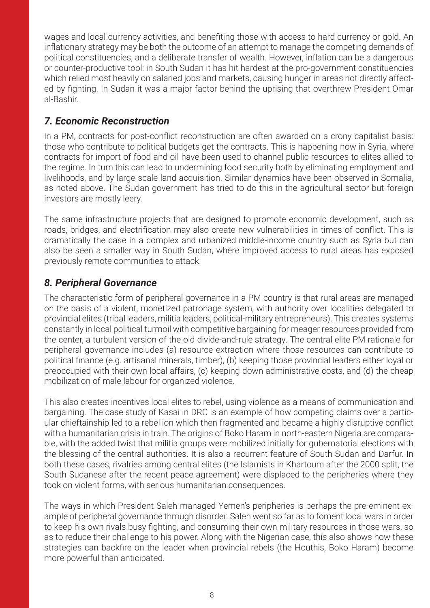wages and local currency activities, and benefiting those with access to hard currency or gold. An inflationary strategy may be both the outcome of an attempt to manage the competing demands of political constituencies, and a deliberate transfer of wealth. However, inflation can be a dangerous or counter-productive tool: in South Sudan it has hit hardest at the pro-government constituencies which relied most heavily on salaried jobs and markets, causing hunger in areas not directly affected by fighting. In Sudan it was a major factor behind the uprising that overthrew President Omar al-Bashir.

#### *7. Economic Reconstruction*

In a PM, contracts for post-conflict reconstruction are often awarded on a crony capitalist basis: those who contribute to political budgets get the contracts. This is happening now in Syria, where contracts for import of food and oil have been used to channel public resources to elites allied to the regime. In turn this can lead to undermining food security both by eliminating employment and livelihoods, and by large scale land acquisition. Similar dynamics have been observed in Somalia, as noted above. The Sudan government has tried to do this in the agricultural sector but foreign investors are mostly leery.

The same infrastructure projects that are designed to promote economic development, such as roads, bridges, and electrification may also create new vulnerabilities in times of conflict. This is dramatically the case in a complex and urbanized middle-income country such as Syria but can also be seen a smaller way in South Sudan, where improved access to rural areas has exposed previously remote communities to attack.

#### *8. Peripheral Governance*

The characteristic form of peripheral governance in a PM country is that rural areas are managed on the basis of a violent, monetized patronage system, with authority over localities delegated to provincial elites (tribal leaders, militia leaders, political-military entrepreneurs). This creates systems constantly in local political turmoil with competitive bargaining for meager resources provided from the center, a turbulent version of the old divide-and-rule strategy. The central elite PM rationale for peripheral governance includes (a) resource extraction where those resources can contribute to political finance (e.g. artisanal minerals, timber), (b) keeping those provincial leaders either loyal or preoccupied with their own local affairs, (c) keeping down administrative costs, and (d) the cheap mobilization of male labour for organized violence.

This also creates incentives local elites to rebel, using violence as a means of communication and bargaining. The case study of Kasai in DRC is an example of how competing claims over a particular chieftainship led to a rebellion which then fragmented and became a highly disruptive conflict with a humanitarian crisis in train. The origins of Boko Haram in north-eastern Nigeria are comparable, with the added twist that militia groups were mobilized initially for gubernatorial elections with the blessing of the central authorities. It is also a recurrent feature of South Sudan and Darfur. In both these cases, rivalries among central elites (the Islamists in Khartoum after the 2000 split, the South Sudanese after the recent peace agreement) were displaced to the peripheries where they took on violent forms, with serious humanitarian consequences.

The ways in which President Saleh managed Yemen's peripheries is perhaps the pre-eminent example of peripheral governance through disorder. Saleh went so far as to foment local wars in order to keep his own rivals busy fighting, and consuming their own military resources in those wars, so as to reduce their challenge to his power. Along with the Nigerian case, this also shows how these strategies can backfire on the leader when provincial rebels (the Houthis, Boko Haram) become more powerful than anticipated.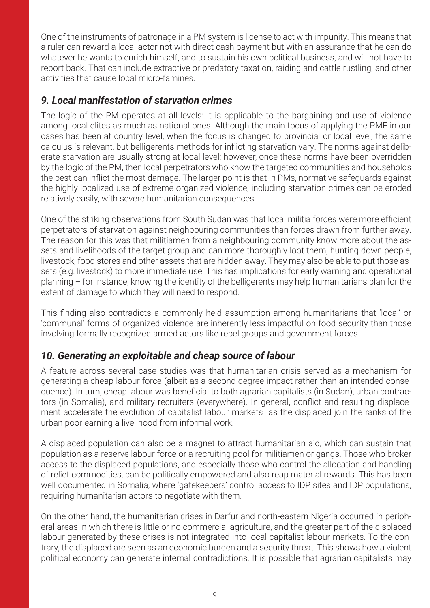One of the instruments of patronage in a PM system is license to act with impunity. This means that a ruler can reward a local actor not with direct cash payment but with an assurance that he can do whatever he wants to enrich himself, and to sustain his own political business, and will not have to report back. That can include extractive or predatory taxation, raiding and cattle rustling, and other activities that cause local micro-famines.

#### *9. Local manifestation of starvation crimes*

The logic of the PM operates at all levels: it is applicable to the bargaining and use of violence among local elites as much as national ones. Although the main focus of applying the PMF in our cases has been at country level, when the focus is changed to provincial or local level, the same calculus is relevant, but belligerents methods for inflicting starvation vary. The norms against deliberate starvation are usually strong at local level; however, once these norms have been overridden by the logic of the PM, then local perpetrators who know the targeted communities and households the best can inflict the most damage. The larger point is that in PMs, normative safeguards against the highly localized use of extreme organized violence, including starvation crimes can be eroded relatively easily, with severe humanitarian consequences.

One of the striking observations from South Sudan was that local militia forces were more efficient perpetrators of starvation against neighbouring communities than forces drawn from further away. The reason for this was that militiamen from a neighbouring community know more about the assets and livelihoods of the target group and can more thoroughly loot them, hunting down people, livestock, food stores and other assets that are hidden away. They may also be able to put those assets (e.g. livestock) to more immediate use. This has implications for early warning and operational planning – for instance, knowing the identity of the belligerents may help humanitarians plan for the extent of damage to which they will need to respond.

This finding also contradicts a commonly held assumption among humanitarians that 'local' or 'communal' forms of organized violence are inherently less impactful on food security than those involving formally recognized armed actors like rebel groups and government forces.

#### *10. Generating an exploitable and cheap source of labour*

A feature across several case studies was that humanitarian crisis served as a mechanism for generating a cheap labour force (albeit as a second degree impact rather than an intended consequence). In turn, cheap labour was beneficial to both agrarian capitalists (in Sudan), urban contractors (in Somalia), and military recruiters (everywhere). In general, conflict and resulting displacement accelerate the evolution of capitalist labour markets as the displaced join the ranks of the urban poor earning a livelihood from informal work.

A displaced population can also be a magnet to attract humanitarian aid, which can sustain that population as a reserve labour force or a recruiting pool for militiamen or gangs. Those who broker access to the displaced populations, and especially those who control the allocation and handling of relief commodities, can be politically empowered and also reap material rewards. This has been well documented in Somalia, where 'gatekeepers' control access to IDP sites and IDP populations, requiring humanitarian actors to negotiate with them.

On the other hand, the humanitarian crises in Darfur and north-eastern Nigeria occurred in peripheral areas in which there is little or no commercial agriculture, and the greater part of the displaced labour generated by these crises is not integrated into local capitalist labour markets. To the contrary, the displaced are seen as an economic burden and a security threat. This shows how a violent political economy can generate internal contradictions. It is possible that agrarian capitalists may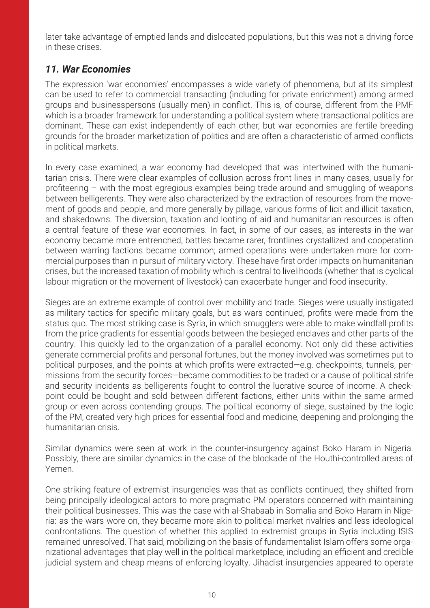later take advantage of emptied lands and dislocated populations, but this was not a driving force in these crises.

#### *11. War Economies*

The expression 'war economies' encompasses a wide variety of phenomena, but at its simplest can be used to refer to commercial transacting (including for private enrichment) among armed groups and businesspersons (usually men) in conflict. This is, of course, different from the PMF which is a broader framework for understanding a political system where transactional politics are dominant. These can exist independently of each other, but war economies are fertile breeding grounds for the broader marketization of politics and are often a characteristic of armed conflicts in political markets.

In every case examined, a war economy had developed that was intertwined with the humanitarian crisis. There were clear examples of collusion across front lines in many cases, usually for profiteering – with the most egregious examples being trade around and smuggling of weapons between belligerents. They were also characterized by the extraction of resources from the movement of goods and people, and more generally by pillage, various forms of licit and illicit taxation, and shakedowns. The diversion, taxation and looting of aid and humanitarian resources is often a central feature of these war economies. In fact, in some of our cases, as interests in the war economy became more entrenched, battles became rarer, frontlines crystallized and cooperation between warring factions became common; armed operations were undertaken more for commercial purposes than in pursuit of military victory. These have first order impacts on humanitarian crises, but the increased taxation of mobility which is central to livelihoods (whether that is cyclical labour migration or the movement of livestock) can exacerbate hunger and food insecurity.

Sieges are an extreme example of control over mobility and trade. Sieges were usually instigated as military tactics for specific military goals, but as wars continued, profits were made from the status quo. The most striking case is Syria, in which smugglers were able to make windfall profits from the price gradients for essential goods between the besieged enclaves and other parts of the country. This quickly led to the organization of a parallel economy. Not only did these activities generate commercial profits and personal fortunes, but the money involved was sometimes put to political purposes, and the points at which profits were extracted—e.g. checkpoints, tunnels, permissions from the security forces—became commodities to be traded or a cause of political strife and security incidents as belligerents fought to control the lucrative source of income. A checkpoint could be bought and sold between different factions, either units within the same armed group or even across contending groups. The political economy of siege, sustained by the logic of the PM, created very high prices for essential food and medicine, deepening and prolonging the humanitarian crisis.

Similar dynamics were seen at work in the counter-insurgency against Boko Haram in Nigeria. Possibly, there are similar dynamics in the case of the blockade of the Houthi-controlled areas of Yemen.

One striking feature of extremist insurgencies was that as conflicts continued, they shifted from being principally ideological actors to more pragmatic PM operators concerned with maintaining their political businesses. This was the case with al-Shabaab in Somalia and Boko Haram in Nigeria: as the wars wore on, they became more akin to political market rivalries and less ideological confrontations. The question of whether this applied to extremist groups in Syria including ISIS remained unresolved. That said, mobilizing on the basis of fundamentalist Islam offers some organizational advantages that play well in the political marketplace, including an efficient and credible judicial system and cheap means of enforcing loyalty. Jihadist insurgencies appeared to operate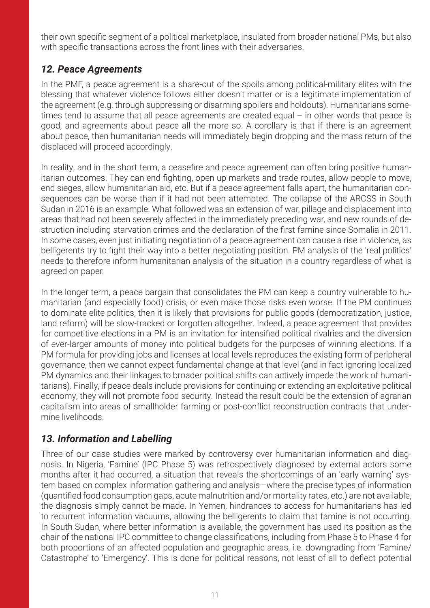their own specific segment of a political marketplace, insulated from broader national PMs, but also with specific transactions across the front lines with their adversaries.

#### *12. Peace Agreements*

In the PMF, a peace agreement is a share-out of the spoils among political-military elites with the blessing that whatever violence follows either doesn't matter or is a legitimate implementation of the agreement (e.g. through suppressing or disarming spoilers and holdouts). Humanitarians sometimes tend to assume that all peace agreements are created equal  $-$  in other words that peace is good, and agreements about peace all the more so. A corollary is that if there is an agreement about peace, then humanitarian needs will immediately begin dropping and the mass return of the displaced will proceed accordingly.

In reality, and in the short term, a ceasefire and peace agreement can often bring positive humanitarian outcomes. They can end fighting, open up markets and trade routes, allow people to move, end sieges, allow humanitarian aid, etc. But if a peace agreement falls apart, the humanitarian consequences can be worse than if it had not been attempted. The collapse of the ARCSS in South Sudan in 2016 is an example. What followed was an extension of war, pillage and displacement into areas that had not been severely affected in the immediately preceding war, and new rounds of destruction including starvation crimes and the declaration of the first famine since Somalia in 2011. In some cases, even just initiating negotiation of a peace agreement can cause a rise in violence, as belligerents try to fight their way into a better negotiating position. PM analysis of the 'real politics' needs to therefore inform humanitarian analysis of the situation in a country regardless of what is agreed on paper.

In the longer term, a peace bargain that consolidates the PM can keep a country vulnerable to humanitarian (and especially food) crisis, or even make those risks even worse. If the PM continues to dominate elite politics, then it is likely that provisions for public goods (democratization, justice, land reform) will be slow-tracked or forgotten altogether. Indeed, a peace agreement that provides for competitive elections in a PM is an invitation for intensified political rivalries and the diversion of ever-larger amounts of money into political budgets for the purposes of winning elections. If a PM formula for providing jobs and licenses at local levels reproduces the existing form of peripheral governance, then we cannot expect fundamental change at that level (and in fact ignoring localized PM dynamics and their linkages to broader political shifts can actively impede the work of humanitarians). Finally, if peace deals include provisions for continuing or extending an exploitative political economy, they will not promote food security. Instead the result could be the extension of agrarian capitalism into areas of smallholder farming or post-conflict reconstruction contracts that undermine livelihoods.

#### *13. Information and Labelling*

Three of our case studies were marked by controversy over humanitarian information and diagnosis. In Nigeria, 'Famine' (IPC Phase 5) was retrospectively diagnosed by external actors some months after it had occurred, a situation that reveals the shortcomings of an 'early warning' system based on complex information gathering and analysis—where the precise types of information (quantified food consumption gaps, acute malnutrition and/or mortality rates, etc.) are not available, the diagnosis simply cannot be made. In Yemen, hindrances to access for humanitarians has led to recurrent information vacuums, allowing the belligerents to claim that famine is not occurring. In South Sudan, where better information is available, the government has used its position as the chair of the national IPC committee to change classifications, including from Phase 5 to Phase 4 for both proportions of an affected population and geographic areas, i.e. downgrading from 'Famine/ Catastrophe' to 'Emergency'. This is done for political reasons, not least of all to deflect potential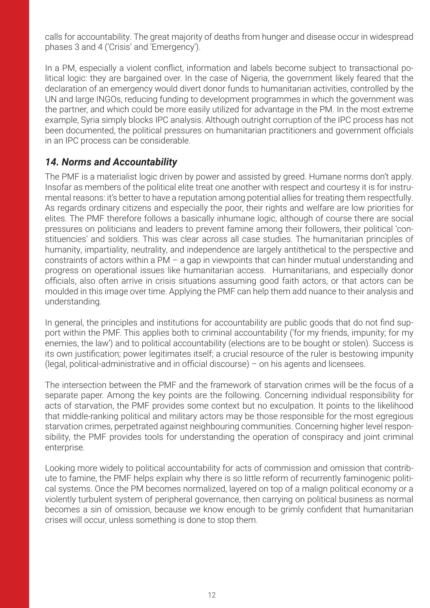calls for accountability. The great majority of deaths from hunger and disease occur in widespread phases 3 and 4 ('Crisis' and 'Emergency').

In a PM, especially a violent conflict, information and labels become subject to transactional political logic: they are bargained over. In the case of Nigeria, the government likely feared that the declaration of an emergency would divert donor funds to humanitarian activities, controlled by the UN and large INGOs, reducing funding to development programmes in which the government was the partner, and which could be more easily utilized for advantage in the PM. In the most extreme example, Syria simply blocks IPC analysis. Although outright corruption of the IPC process has not been documented, the political pressures on humanitarian practitioners and government officials in an IPC process can be considerable.

#### *14. Norms and Accountability*

The PMF is a materialist logic driven by power and assisted by greed. Humane norms don't apply. Insofar as members of the political elite treat one another with respect and courtesy it is for instrumental reasons: it's better to have a reputation among potential allies for treating them respectfully. As regards ordinary citizens and especially the poor, their rights and welfare are low priorities for elites. The PMF therefore follows a basically inhumane logic, although of course there are social pressures on politicians and leaders to prevent famine among their followers, their political 'constituencies' and soldiers. This was clear across all case studies. The humanitarian principles of humanity, impartiality, neutrality, and independence are largely antithetical to the perspective and constraints of actors within a PM – a gap in viewpoints that can hinder mutual understanding and progress on operational issues like humanitarian access. Humanitarians, and especially donor officials, also often arrive in crisis situations assuming good faith actors, or that actors can be moulded in this image over time. Applying the PMF can help them add nuance to their analysis and understanding.

In general, the principles and institutions for accountability are public goods that do not find support within the PMF. This applies both to criminal accountability ('for my friends, impunity; for my enemies, the law') and to political accountability (elections are to be bought or stolen). Success is its own justification; power legitimates itself; a crucial resource of the ruler is bestowing impunity (legal, political-administrative and in official discourse) – on his agents and licensees.

The intersection between the PMF and the framework of starvation crimes will be the focus of a separate paper. Among the key points are the following. Concerning individual responsibility for acts of starvation, the PMF provides some context but no exculpation. It points to the likelihood that middle-ranking political and military actors may be those responsible for the most egregious starvation crimes, perpetrated against neighbouring communities. Concerning higher level responsibility, the PMF provides tools for understanding the operation of conspiracy and joint criminal enterprise.

Looking more widely to political accountability for acts of commission and omission that contribute to famine, the PMF helps explain why there is so little reform of recurrently faminogenic political systems. Once the PM becomes normalized, layered on top of a malign political economy or a violently turbulent system of peripheral governance, then carrying on political business as normal becomes a sin of omission, because we know enough to be grimly confident that humanitarian crises will occur, unless something is done to stop them.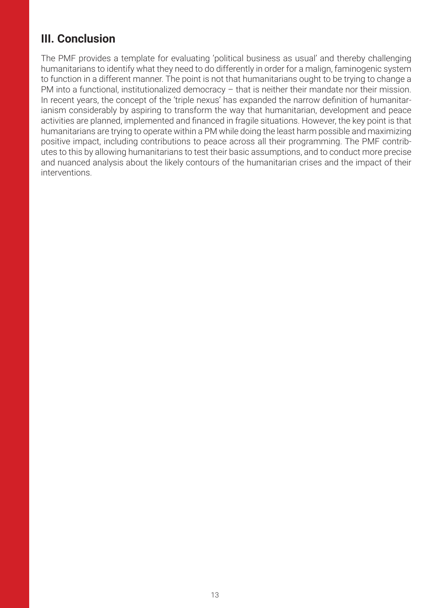## **III. Conclusion**

The PMF provides a template for evaluating 'political business as usual' and thereby challenging humanitarians to identify what they need to do differently in order for a malign, faminogenic system to function in a different manner. The point is not that humanitarians ought to be trying to change a PM into a functional, institutionalized democracy – that is neither their mandate nor their mission. In recent years, the concept of the 'triple nexus' has expanded the narrow definition of humanitarianism considerably by aspiring to transform the way that humanitarian, development and peace activities are planned, implemented and financed in fragile situations. However, the key point is that humanitarians are trying to operate within a PM while doing the least harm possible and maximizing positive impact, including contributions to peace across all their programming. The PMF contributes to this by allowing humanitarians to test their basic assumptions, and to conduct more precise and nuanced analysis about the likely contours of the humanitarian crises and the impact of their interventions.